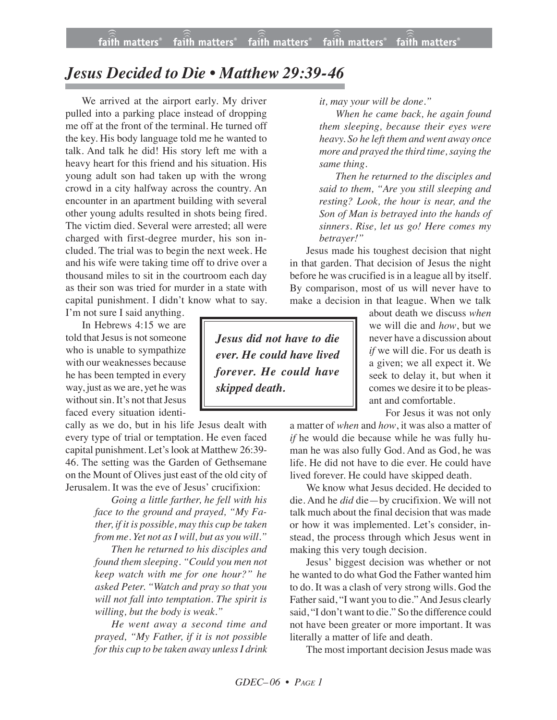## *Jesus Decided to Die • Matthew 29:39-46*

We arrived at the airport early. My driver pulled into a parking place instead of dropping me off at the front of the terminal. He turned off the key. His body language told me he wanted to talk. And talk he did! His story left me with a heavy heart for this friend and his situation. His young adult son had taken up with the wrong crowd in a city halfway across the country. An encounter in an apartment building with several other young adults resulted in shots being fired. The victim died. Several were arrested; all were charged with first-degree murder, his son included. The trial was to begin the next week. He and his wife were taking time off to drive over a thousand miles to sit in the courtroom each day as their son was tried for murder in a state with capital punishment. I didn't know what to say.

I'm not sure I said anything. In Hebrews 4:15 we are told that Jesus is not someone who is unable to sympathize with our weaknesses because he has been tempted in every way, just as we are, yet he was without sin. It's not that Jesus faced every situation identi-

cally as we do, but in his life Jesus dealt with every type of trial or temptation. He even faced capital punishment. Let's look at Matthew 26:39- 46. The setting was the Garden of Gethsemane on the Mount of Olives just east of the old city of Jerusalem. It was the eve of Jesus' crucifixion:

> *Going a little farther, he fell with his face to the ground and prayed, "My Father, if it is possible, may this cup be taken from me. Yet not as I will, but as you will."*

> *Then he returned to his disciples and found them sleeping. "Could you men not keep watch with me for one hour?" he asked Peter. "Watch and pray so that you will not fall into temptation. The spirit is willing, but the body is weak."*

> *He went away a second time and prayed, "My Father, if it is not possible forthis cup to be taken away unless I drink*

*it, may your will be done."*

*When he came back, he again found them sleeping, because their eyes were heavy. So he left them and went away once more and prayed the third time,saying the same thing.*

*Then he returned to the disciples and said to them, "Are you still sleeping and resting? Look, the hour is near, and the Son of Man is betrayed into the hands of sinners. Rise, let us go! Here comes my betrayer!"*

Jesus made his toughest decision that night in that garden. That decision of Jesus the night before he was crucified is in a league all by itself. By comparison, most of us will never have to make a decision in that league. When we talk

*Jesus did not have to die ever. He could have lived forever. He could have skipped death.*

about death we discuss *when* we will die and *how*, but we never have a discussion about *if* we will die. For us death is a given; we all expect it. We seek to delay it, but when it comes we desire it to be pleasant and comfortable.

For Jesus it was not only

a matter of *when* and *how*, it was also a matter of *if* he would die because while he was fully human he was also fully God. And as God, he was life. He did not have to die ever. He could have lived forever. He could have skipped death.

We know what Jesus decided. He decided to die. And he *did* die—by crucifixion. We will not talk much about the final decision that was made or how it was implemented. Let's consider, instead, the process through which Jesus went in making this very tough decision.

Jesus' biggest decision was whether or not he wanted to do what God the Father wanted him to do. It was a clash of very strong wills. God the Father said, "I want you to die." And Jesus clearly said, "I don't want to die." So the difference could not have been greater or more important. It was literally a matter of life and death.

The most important decision Jesus made was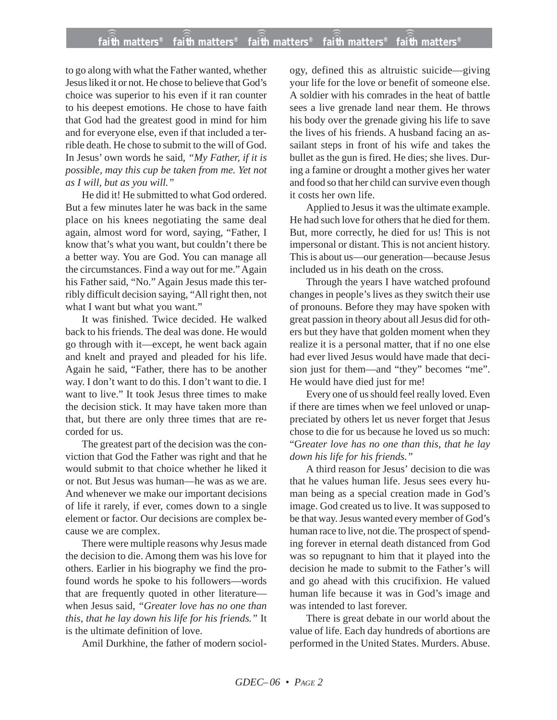## **faith matters® faith matters® faith matters® faith matters® faith matters®** ))) ))) ))) ))) )))

to go along with what the Father wanted, whether Jesus liked it or not. He chose to believe that God's choice was superior to his even if it ran counter to his deepest emotions. He chose to have faith that God had the greatest good in mind for him and for everyone else, even if that included a terrible death. He chose to submit to the will of God. In Jesus' own words he said, *"My Father, if it is possible, may this cup be taken from me. Yet not as I will, but as you will."*

He did it! He submitted to what God ordered. But a few minutes later he was back in the same place on his knees negotiating the same deal again, almost word for word, saying, "Father, I know that's what you want, but couldn't there be a better way. You are God. You can manage all the circumstances. Find a way out for me." Again his Father said, "No." Again Jesus made this terribly difficult decision saying, "All right then, not what I want but what you want."

It was finished. Twice decided. He walked back to his friends. The deal was done. He would go through with it—except, he went back again and knelt and prayed and pleaded for his life. Again he said, "Father, there has to be another way. I don't want to do this. I don't want to die. I want to live." It took Jesus three times to make the decision stick. It may have taken more than that, but there are only three times that are recorded for us.

The greatest part of the decision was the conviction that God the Father was right and that he would submit to that choice whether he liked it or not. But Jesus was human—he was as we are. And whenever we make our important decisions of life it rarely, if ever, comes down to a single element or factor. Our decisions are complex because we are complex.

There were multiple reasons why Jesus made the decision to die. Among them was his love for others. Earlier in his biography we find the profound words he spoke to his followers—words that are frequently quoted in other literature when Jesus said, *"Greater love has no one than this, that he lay down his life for his friends."* It is the ultimate definition of love.

Amil Durkhine, the father of modern sociol-

ogy, defined this as altruistic suicide—giving your life for the love or benefit of someone else. A soldier with his comrades in the heat of battle sees a live grenade land near them. He throws his body over the grenade giving his life to save the lives of his friends. A husband facing an assailant steps in front of his wife and takes the bullet as the gun is fired. He dies; she lives. During a famine or drought a mother gives her water and food so that her child can survive even though it costs her own life.

Applied to Jesus it was the ultimate example. He had such love for others that he died for them. But, more correctly, he died for us! This is not impersonal or distant. This is not ancient history. This is about us—our generation—because Jesus included us in his death on the cross.

Through the years I have watched profound changes in people's lives as they switch their use of pronouns. Before they may have spoken with great passion in theory about all Jesus did for others but they have that golden moment when they realize it is a personal matter, that if no one else had ever lived Jesus would have made that decision just for them—and "they" becomes "me". He would have died just for me!

Every one of us should feel really loved. Even if there are times when we feel unloved or unappreciated by others let us never forget that Jesus chose to die for us because he loved us so much: "G*reater love has no one than this, that he lay down his life for his friends."*

A third reason for Jesus' decision to die was that he values human life. Jesus sees every human being as a special creation made in God's image. God created us to live. It was supposed to be that way. Jesus wanted every member of God's human race to live, not die. The prospect of spending forever in eternal death distanced from God was so repugnant to him that it played into the decision he made to submit to the Father's will and go ahead with this crucifixion. He valued human life because it was in God's image and was intended to last forever.

There is great debate in our world about the value of life. Each day hundreds of abortions are performed in the United States. Murders. Abuse.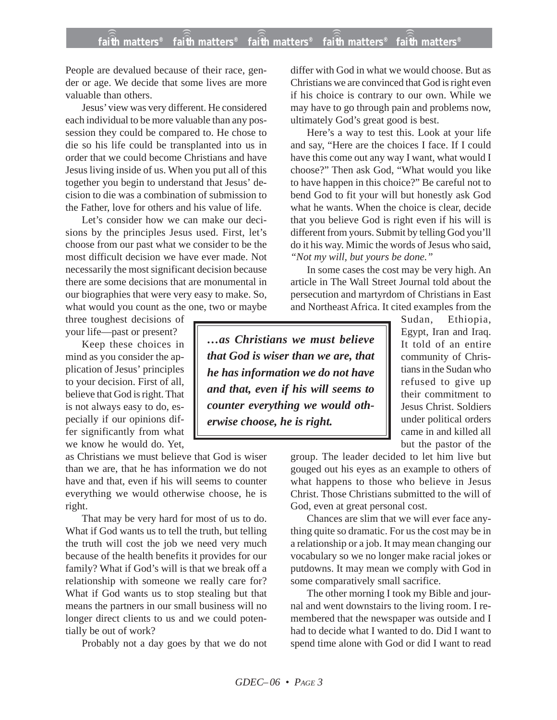## **faith matters® faith matters® faith matters® faith matters® faith matters®** ))) ))) ))) ))) )))

People are devalued because of their race, gender or age. We decide that some lives are more valuable than others.

Jesus' view was very different. He considered each individual to be more valuable than any possession they could be compared to. He chose to die so his life could be transplanted into us in order that we could become Christians and have Jesus living inside of us. When you put all of this together you begin to understand that Jesus' decision to die was a combination of submission to the Father, love for others and his value of life.

Let's consider how we can make our decisions by the principles Jesus used. First, let's choose from our past what we consider to be the most difficult decision we have ever made. Not necessarily the most significant decision because there are some decisions that are monumental in our biographies that were very easy to make. So, what would you count as the one, two or maybe

three toughest decisions of your life—past or present?

Keep these choices in mind as you consider the application of Jesus' principles to your decision. First of all, believe that God is right. That is not always easy to do, especially if our opinions differ significantly from what we know he would do. Yet,

as Christians we must believe that God is wiser than we are, that he has information we do not have and that, even if his will seems to counter everything we would otherwise choose, he is right.

That may be very hard for most of us to do. What if God wants us to tell the truth, but telling the truth will cost the job we need very much because of the health benefits it provides for our family? What if God's will is that we break off a relationship with someone we really care for? What if God wants us to stop stealing but that means the partners in our small business will no longer direct clients to us and we could potentially be out of work?

Probably not a day goes by that we do not

differ with God in what we would choose. But as Christians we are convinced that God is right even if his choice is contrary to our own. While we may have to go through pain and problems now, ultimately God's great good is best.

Here's a way to test this. Look at your life and say, "Here are the choices I face. If I could have this come out any way I want, what would I choose?" Then ask God, "What would you like to have happen in this choice?" Be careful not to bend God to fit your will but honestly ask God what he wants. When the choice is clear, decide that you believe God is right even if his will is different from yours. Submit by telling God you'll do it his way. Mimic the words of Jesus who said, *"Not my will, but yours be done."*

In some cases the cost may be very high. An article in The Wall Street Journal told about the persecution and martyrdom of Christians in East and Northeast Africa. It cited examples from the

*…as Christians we must believe that God is wiser than we are, that he has information we do not have and that, even if his will seems to counter everything we would otherwise choose, he is right.*

Sudan, Ethiopia, Egypt, Iran and Iraq. It told of an entire community of Christians in the Sudan who refused to give up their commitment to Jesus Christ. Soldiers under political orders came in and killed all but the pastor of the

group. The leader decided to let him live but gouged out his eyes as an example to others of what happens to those who believe in Jesus Christ. Those Christians submitted to the will of God, even at great personal cost.

Chances are slim that we will ever face anything quite so dramatic. For us the cost may be in a relationship or a job. It may mean changing our vocabulary so we no longer make racial jokes or putdowns. It may mean we comply with God in some comparatively small sacrifice.

The other morning I took my Bible and journal and went downstairs to the living room. I remembered that the newspaper was outside and I had to decide what I wanted to do. Did I want to spend time alone with God or did I want to read